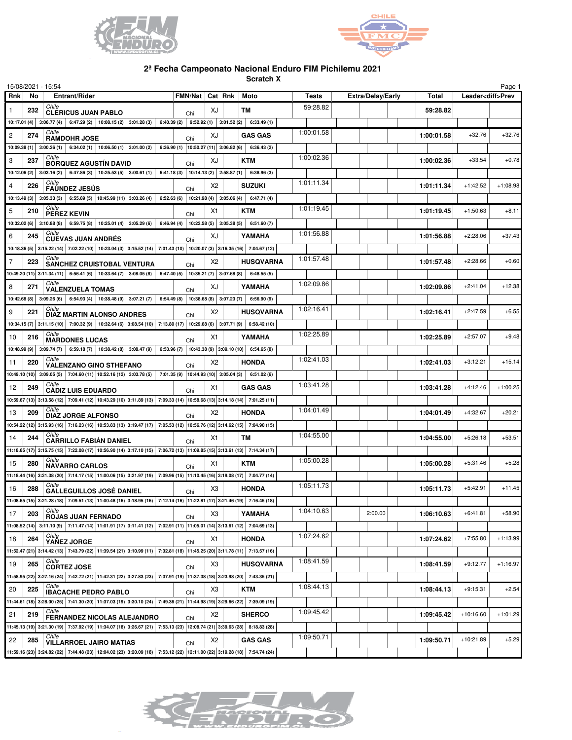



## **2ª Fecha Campeonato Nacional Enduro FIM Pichilemu 2021**

**Scratch X**

| 15/08/2021 - 15:54 |     |                                                                                                                                                                                                                                                            |                                          |                                          |                 |    |                                                           |              |                          |              |             | Page 1                   |
|--------------------|-----|------------------------------------------------------------------------------------------------------------------------------------------------------------------------------------------------------------------------------------------------------------|------------------------------------------|------------------------------------------|-----------------|----|-----------------------------------------------------------|--------------|--------------------------|--------------|-------------|--------------------------|
| <b>Rnk</b>         | No. | Entrant/Rider                                                                                                                                                                                                                                              |                                          |                                          | FMN/Nat Cat Rnk |    | Moto                                                      | <b>Tests</b> | <b>Extra/Delay/Early</b> | <b>Total</b> |             | Leader <diff>Prev</diff> |
| 1                  | 232 | Chile<br><b>CLERICUS JUAN PABLO</b>                                                                                                                                                                                                                        |                                          |                                          | Chi             | XJ | тм                                                        | 59:28.82     |                          | 59:28.82     |             |                          |
|                    |     | 10:17.01 (4) 3:06.77 (4)                                                                                                                                                                                                                                   | 6:47.29 (2)   10:08.15 (2)   3:01.28 (3) | 6:40.39 (2)   9:52.92 (1)   3:01.52 (2)  |                 |    | 6:33.49(1)                                                |              |                          |              |             |                          |
| $\overline{c}$     | 274 | Chile<br><b>RAMDOHR JOSE</b>                                                                                                                                                                                                                               |                                          |                                          | Chi             | XJ | <b>GAS GAS</b>                                            | 1:00:01.58   |                          | 1:00:01.58   | $+32.76$    | $+32.76$                 |
|                    |     | 10:09.38 (1) 3:00.26 (1) 6:34.02 (1) 10:06.50 (1) 3:01.00 (2)                                                                                                                                                                                              |                                          |                                          |                 |    | 6:36.90 (1) $\vert$ 10:50.27 (11) 3:06.82 (6) 6:36.43 (2) |              |                          |              |             |                          |
| 3                  | 237 | Chile<br><b>BÓRQUEZ AGUSTÍN DAVID</b>                                                                                                                                                                                                                      |                                          |                                          | Chi             | XJ | <b>KTM</b>                                                | 1:00:02.36   |                          | 1:00:02.36   | $+33.54$    | $+0.78$                  |
| 10:12.06(2)        |     | 3:03.16(2)                                                                                                                                                                                                                                                 | 6:47.86 (3)   10:25.53 (5)   3:00.61 (1) | 6:41.18 (3) 10:14.13 (2) 2:58.87 (1)     |                 |    | 6:38.96(3)                                                |              |                          |              |             |                          |
| 4                  | 226 | Chile<br><b>FAUNDEZ JESUS</b>                                                                                                                                                                                                                              |                                          |                                          |                 | X2 | <b>SUZUKI</b>                                             | 1:01:11.34   |                          | 1:01:11.34   | $+1:42.52$  | $+1:08.98$               |
|                    |     | $10:13.49(3)$ 3:05.33(3)                                                                                                                                                                                                                                   | 6:55.89 (5) 10:45.99 (11) 3:03.26 (4)    | 6:52.63 (6) 10:21.98 (4) 3:05.06 (4)     | Chi             |    | 6:47.71(4)                                                |              |                          |              |             |                          |
| 5                  | 210 | Chile                                                                                                                                                                                                                                                      |                                          |                                          |                 | X1 | <b>KTM</b>                                                | 1:01:19.45   |                          | 1:01:19.45   | $+1:50.63$  | $+8.11$                  |
|                    |     | PEREZ KEVIN<br>10:32.02 (6)   3:10.88 (8)                                                                                                                                                                                                                  | 6:59.75 (8)   10:25.01 (4)   3:05.29 (6) | 6:46.94 (4)   10:22.58 (5)   3:05.38 (5) | Chi             |    | 6:51.60(7)                                                |              |                          |              |             |                          |
| 6                  | 245 | Chile                                                                                                                                                                                                                                                      |                                          |                                          |                 | XJ | YAMAHA                                                    | 1:01:56.88   |                          | 1:01:56.88   | $+2:28.06$  | $+37.43$                 |
|                    |     | <b>CUEVAS JUAN ANDRÉS</b><br>10:18.36 (5) 3:15.22 (14) 7:02.22 (10) 10:23.04 (3) 3:15.52 (14) 7:01.43 (10) 10:20.07 (3) 3:16.35 (16) 7:04.67 (12)                                                                                                          |                                          |                                          | Chi             |    |                                                           |              |                          |              |             |                          |
| 7                  | 223 | Chile                                                                                                                                                                                                                                                      |                                          |                                          |                 | X2 |                                                           | 1:01:57.48   |                          |              | $+2:28.66$  | $+0.60$                  |
|                    |     | <b>SANCHEZ CRUISTOBAL VENTURA</b>                                                                                                                                                                                                                          |                                          | 6:47.40 (5) 10:35.21 (7) 3:07.68 (8)     | Chi             |    | <b>HUSQVARNA</b><br>6:48.55(5)                            |              |                          | 1:01:57.48   |             |                          |
|                    |     | 10:49.20 (11) 3:11.34 (11) 6:56.41 (6) 10:33.64 (7) 3:08.05 (8)  <br>Chile                                                                                                                                                                                 |                                          |                                          |                 |    |                                                           | 1:02:09.86   |                          |              |             |                          |
| 8                  | 271 | <b>VALENZUELA TOMAS</b>                                                                                                                                                                                                                                    |                                          |                                          | Chi             | XJ | YAMAHA                                                    |              |                          | 1:02:09.86   | $+2:41.04$  | $+12.38$                 |
|                    |     | 10:42.68 (8) 3:09.26 (6) 6:54.93 (4) 10:38.48 (9) 3:07.21 (7)  <br>Chile                                                                                                                                                                                   |                                          |                                          |                 |    | $6:54.49(8)$   10:38.68(8)   3:07.23(7)   6:56.90(9)      | 1:02:16.41   |                          |              |             |                          |
| 9                  | 221 | <b>DIAZ MARTIN ALONSO ANDRES</b>                                                                                                                                                                                                                           |                                          |                                          | Chi             | X2 | <b>HUSQVARNA</b>                                          |              |                          | 1:02:16.41   | $+2:47.59$  | $+6.55$                  |
|                    |     | $10:34.15(7)$ 3:11.15 (10) 7:00.32 (9) 10:32.64 (6) 3:08.54 (10) 7:13.80 (17) 10:29.68 (6) 3:07.71 (9) 6:58.42 (10)                                                                                                                                        |                                          |                                          |                 |    |                                                           |              |                          |              |             |                          |
| 10                 | 216 | Chile<br><b>MARDONES LUCAS</b>                                                                                                                                                                                                                             |                                          |                                          | Chi             | X1 | YAMAHA                                                    | 1:02:25.89   |                          | 1:02:25.89   | $+2:57.07$  | $+9.48$                  |
|                    |     | $10.48.99(9)$ 3:09.74 (7) 6:59.18 (7) 10:38.42 (8) 3:08.47 (9) 6:53.96 (7) 10:43.38 (9) 3:09.10 (10) 6:54.65 (8)                                                                                                                                           |                                          |                                          |                 |    |                                                           |              |                          |              |             |                          |
| 11                 | 220 | Chile<br><b>VALENZANO GINO STHEFANO</b>                                                                                                                                                                                                                    |                                          |                                          | Chi             | X2 | <b>HONDA</b>                                              | 1:02:41.03   |                          | 1:02:41.03   | $+3:12.21$  | $+15.14$                 |
|                    |     | 10:49.10 (10) 3:09.05 (5) 7:04.60 (11) 10:52.16 (12) 3:03.78 (5) 7:01.35 (9) 10:44.93 (10) 3:05.04 (3) 5                                                                                                                                                   |                                          |                                          |                 |    | 6:51.02(6)                                                |              |                          |              |             |                          |
| 12                 | 249 | Chile<br><b>CADIZ LUIS EDUARDO</b>                                                                                                                                                                                                                         |                                          |                                          | Chi             | X1 | <b>GAS GAS</b>                                            | 1:03:41.28   |                          | 1:03:41.28   | $+4:12.46$  | $+1:00.25$               |
|                    |     | 10:59.67 (13) 3:13.58 (12) 7:09.41 (12) 10:43.29 (10) 3:11.89 (13) 7:09.33 (14) 10:58.68 (13) 3:14.18 (14) 7:01.25 (11)                                                                                                                                    |                                          |                                          |                 |    |                                                           |              |                          |              |             |                          |
| 13                 | 209 | Chile<br><b>DIAZ JORGE ALFONSO</b>                                                                                                                                                                                                                         |                                          |                                          | Chi             | X2 | <b>HONDA</b>                                              | 1:04:01.49   |                          | 1:04:01.49   | $+4:32.67$  | $+20.21$                 |
|                    |     | $10:54.22$ (12) $3:15.93$ (16) $7:16.23$ (16) $ 10:53.83$ (13) $3:19.47$ (17) $ 7:05.53$ (12) $ 10:56.76$ (12) $ 3:14.62$ (15) $ 7:04.90$ (15)                                                                                                             |                                          |                                          |                 |    |                                                           |              |                          |              |             |                          |
| 14                 | 244 | Chile<br><b>CARRILLO FABIAN DANIEL</b>                                                                                                                                                                                                                     |                                          |                                          | Chi             | X1 | <b>TM</b>                                                 | 1:04:55.00   |                          | 1:04:55.00   | $+5:26.18$  | $+53.51$                 |
|                    |     | 11:18.65 (17) 3:15.75 (15) 7:22.08 (17) 10:56.90 (14) 3:17.10 (15) 7:06.72 (13) 11:09.85 (15) 3:13.61 (13) 7:14.34 (17)                                                                                                                                    |                                          |                                          |                 |    |                                                           |              |                          |              |             |                          |
| 15                 | 280 | Chile<br><b>NAVARRO CARLOS</b>                                                                                                                                                                                                                             |                                          |                                          | Chi             | X1 | <b>KTM</b>                                                | 1:05:00.28   |                          | 1:05:00.28   | $+5:31.46$  | $+5.28$                  |
|                    |     | 11:18.44 (16) 3:21.38 (20) 7:14.17 (15) 11:00.06 (15) 3:21.97 (19) 7:09.96 (15) 11:10.45 (16) 3:19.08 (17) 7:04.77 (14)                                                                                                                                    |                                          |                                          |                 |    |                                                           |              |                          |              |             |                          |
| 16                 | 288 | Chile                                                                                                                                                                                                                                                      |                                          |                                          |                 | X3 | <b>HONDA</b>                                              | 1:05:11.73   |                          | 1:05:11.73   | $+5:42.91$  | $+11.45$                 |
|                    |     | <b>GALLEGUILLOS JOSÉ DANIEL</b><br>$11:08.65(15) \overline{)3:21.28(18) \overline{)7:09.51(13) \overline{)11:00.48(16) \overline{)3:18.95(16) \overline{)7:12.14(16) \overline{)11:22.81(17) \overline{)3:21.46(19) \overline{?}:16.45(18) \overline{)}}}$ |                                          |                                          | Chi             |    |                                                           |              |                          |              |             |                          |
| 17                 | 203 | Chile                                                                                                                                                                                                                                                      |                                          |                                          |                 | X3 | YAMAHA                                                    | 1:04:10.63   | 2:00.00                  | 1:06:10.63   | $+6:41.81$  | $+58.90$                 |
|                    |     | <b>ROJAS JUAN FERNADO</b><br>11:08.52 (14) 3:11.10 (9) 7:11.47 (14) 11:01.91 (17) 3:11.41 (12) 7:02.91 (11) 11:05.01 (14) 3:13.61 (12) 7:04.69 (13)                                                                                                        |                                          |                                          | Chi             |    |                                                           |              |                          |              |             |                          |
|                    |     | Chile                                                                                                                                                                                                                                                      |                                          |                                          |                 |    |                                                           | 1:07:24.62   |                          |              |             |                          |
| 18                 | 264 | YAÑEZ JORGE                                                                                                                                                                                                                                                |                                          |                                          | Chi             | X1 | <b>HONDA</b>                                              |              |                          | 1:07:24.62   | $+7:55.80$  | $+1:13.99$               |
|                    |     | 11:52.47 (21) 3:14.42 (13) 7:43.79 (22) 11:39.54 (21) 3:10.99 (11) 7:32.81 (18) 11:45.25 (20) 3:11.78 (11) 7:13.57 (16)<br>Chile                                                                                                                           |                                          |                                          |                 |    |                                                           | 1:08:41.59   |                          |              |             |                          |
| 19                 | 265 | <b>CORTEZ JOSE</b>                                                                                                                                                                                                                                         |                                          |                                          | Chi             | X3 | <b>HUSQVARNA</b>                                          |              |                          | 1:08:41.59   | $+9:12.77$  | $+1:16.97$               |
|                    |     | 11:58.95 (22) 3:27.16 (24) 7:42.72 (21) 11:42.31 (22) 3:27.83 (23) 7:37.91 (19) 11:37.38 (18) 3:23.98 (20) 7:43.35 (21)                                                                                                                                    |                                          |                                          |                 |    |                                                           |              |                          |              |             |                          |
| 20                 | 225 | Chile<br><b>IBACACHE PEDRO PABLO</b>                                                                                                                                                                                                                       |                                          |                                          | Chi             | X3 | <b>KTM</b>                                                | 1:08:44.13   |                          | 1:08:44.13   | $+9:15.31$  | $+2.54$                  |
|                    |     | 11:44.61 (18) 3:28.00 (25) 7:41.30 (20) 11:37.03 (19) 3:30.10 (24) 7:49.36 (21) 11:44.98 (19) 3:29.66 (22) 7:39.09 (19)                                                                                                                                    |                                          |                                          |                 |    |                                                           |              |                          |              |             |                          |
| 21                 | 219 | Chile<br><b>FERNANDEZ NICOLAS ALEJANDRO</b>                                                                                                                                                                                                                |                                          |                                          | Chi             | X2 | <b>SHERCO</b>                                             | 1:09:45.42   |                          | 1:09:45.42   | $+10:16.60$ | $+1:01.29$               |
|                    |     | $\left  11:45.13(19) \right  3:21.30(19)$ 7:37.92 (19) 11:34.07 (18) 3:26.67 (21) 7:53.13 (23) 12:08.74 (21) 3:39.63 (28) 8:18.83 (28)                                                                                                                     |                                          |                                          |                 |    |                                                           |              |                          |              |             |                          |
| 22                 | 285 | Chile<br><b>VILLARROEL JAIRO MATIAS</b>                                                                                                                                                                                                                    |                                          |                                          | Chi             | X2 | <b>GAS GAS</b>                                            | 1:09:50.71   |                          | 1:09:50.71   | $+10:21.89$ | $+5.29$                  |
|                    |     | 11:59.16 (23) 3:24.82 (22) 7:44.48 (23) 12:04.02 (23) 3:20.09 (18) 7:53.12 (22) 12:11.00 (22) 3:19.28 (18) 7:54.74 (24)                                                                                                                                    |                                          |                                          |                 |    |                                                           |              |                          |              |             |                          |